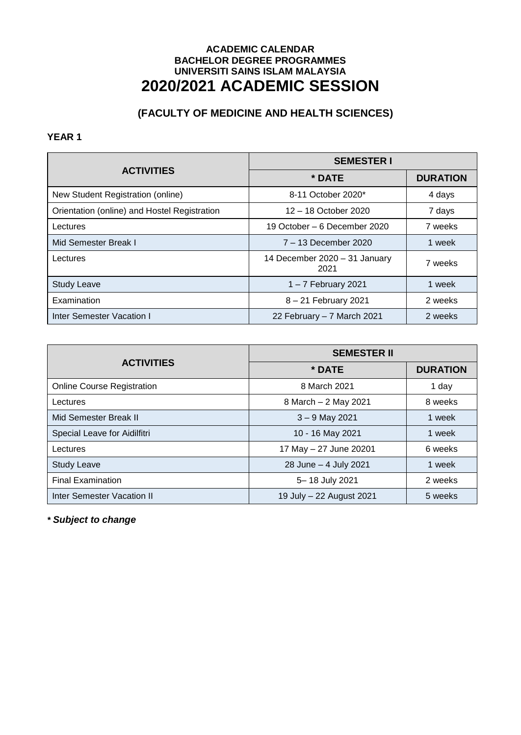# **(FACULTY OF MEDICINE AND HEALTH SCIENCES)**

#### **YEAR 1**

|                                              | <b>SEMESTER I</b>                     |                 |
|----------------------------------------------|---------------------------------------|-----------------|
| <b>ACTIVITIES</b>                            | * DATE                                | <b>DURATION</b> |
| New Student Registration (online)            | 8-11 October 2020*                    | 4 days          |
| Orientation (online) and Hostel Registration | 12 - 18 October 2020                  | 7 days          |
| Lectures                                     | 19 October – 6 December 2020          | 7 weeks         |
| Mid Semester Break I                         | 7 – 13 December 2020                  | 1 week          |
| Lectures                                     | 14 December 2020 - 31 January<br>2021 | 7 weeks         |
| <b>Study Leave</b>                           | $1 - 7$ February 2021                 | 1 week          |
| Examination                                  | 8 - 21 February 2021                  | 2 weeks         |
| Inter Semester Vacation I                    | 22 February - 7 March 2021            | 2 weeks         |

|                                   | <b>SEMESTER II</b>       |                 |
|-----------------------------------|--------------------------|-----------------|
| <b>ACTIVITIES</b>                 | * DATE                   | <b>DURATION</b> |
| <b>Online Course Registration</b> | 8 March 2021             | 1 day           |
| Lectures                          | 8 March - 2 May 2021     | 8 weeks         |
| Mid Semester Break II             | $3 - 9$ May 2021         | 1 week          |
| Special Leave for Aidilfitri      | 10 - 16 May 2021         | 1 week          |
| Lectures                          | 17 May - 27 June 20201   | 6 weeks         |
| <b>Study Leave</b>                | 28 June - 4 July 2021    | 1 week          |
| <b>Final Examination</b>          | 5-18 July 2021           | 2 weeks         |
| Inter Semester Vacation II        | 19 July - 22 August 2021 | 5 weeks         |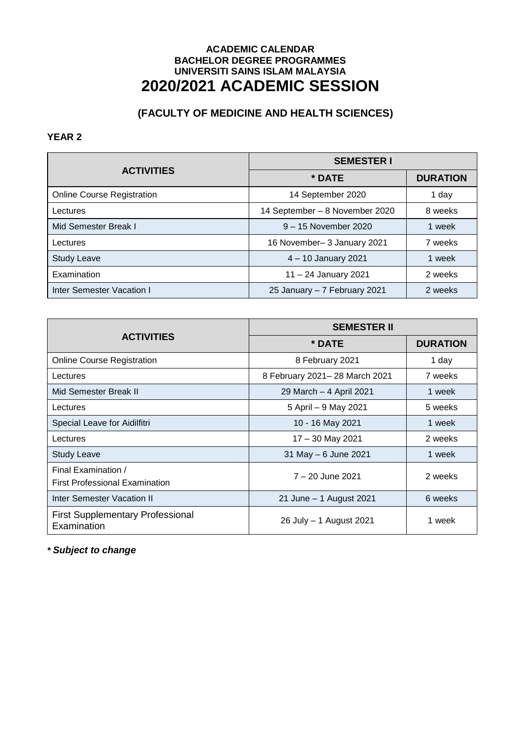# **(FACULTY OF MEDICINE AND HEALTH SCIENCES)**

### **YEAR 2**

| <b>ACTIVITIES</b>                 | <b>SEMESTER I</b>              |                 |
|-----------------------------------|--------------------------------|-----------------|
|                                   | * DATE                         | <b>DURATION</b> |
| <b>Online Course Registration</b> | 14 September 2020              | 1 day           |
| Lectures                          | 14 September - 8 November 2020 | 8 weeks         |
| Mid Semester Break I              | 9 - 15 November 2020           | 1 week          |
| Lectures                          | 16 November-3 January 2021     | 7 weeks         |
| <b>Study Leave</b>                | 4 - 10 January 2021            | 1 week          |
| Examination                       | 11 - 24 January 2021           | 2 weeks         |
| Inter Semester Vacation I         | 25 January - 7 February 2021   | 2 weeks         |

|                                                              | <b>SEMESTER II</b>            |                 |
|--------------------------------------------------------------|-------------------------------|-----------------|
| <b>ACTIVITIES</b>                                            | * DATE                        | <b>DURATION</b> |
| <b>Online Course Registration</b>                            | 8 February 2021               | 1 day           |
| Lectures                                                     | 8 February 2021-28 March 2021 | 7 weeks         |
| Mid Semester Break II                                        | 29 March – 4 April 2021       | 1 week          |
| Lectures                                                     | 5 April - 9 May 2021          | 5 weeks         |
| Special Leave for Aidilfitri                                 | 10 - 16 May 2021              | 1 week          |
| Lectures                                                     | 17 - 30 May 2021              | 2 weeks         |
| <b>Study Leave</b>                                           | 31 May - 6 June 2021          | 1 week          |
| Final Examination /<br><b>First Professional Examination</b> | 7 - 20 June 2021              | 2 weeks         |
| <b>Inter Semester Vacation II</b>                            | 21 June - 1 August 2021       | 6 weeks         |
| <b>First Supplementary Professional</b><br>Examination       | 26 July - 1 August 2021       | 1 week          |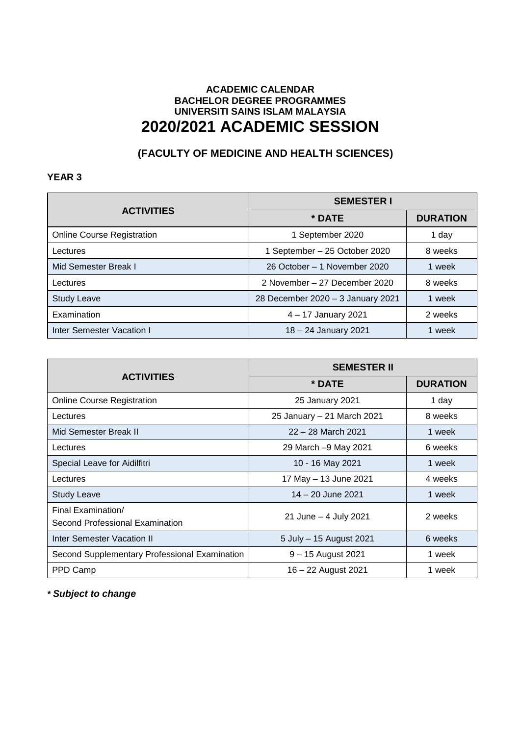# **(FACULTY OF MEDICINE AND HEALTH SCIENCES)**

### **YEAR 3**

| <b>ACTIVITIES</b>                 | <b>SEMESTER I</b>                 |                 |
|-----------------------------------|-----------------------------------|-----------------|
|                                   | * DATE                            | <b>DURATION</b> |
| <b>Online Course Registration</b> | 1 September 2020                  | 1 day           |
| Lectures                          | 1 September - 25 October 2020     | 8 weeks         |
| Mid Semester Break I              | 26 October – 1 November 2020      | week            |
| Lectures                          | 2 November – 27 December 2020     | 8 weeks         |
| <b>Study Leave</b>                | 28 December 2020 - 3 January 2021 | week            |
| Examination                       | 4 - 17 January 2021               | 2 weeks         |
| Inter Semester Vacation I         | 18 - 24 January 2021              | week            |

|                                                       | <b>SEMESTER II</b>         |                 |
|-------------------------------------------------------|----------------------------|-----------------|
| <b>ACTIVITIES</b>                                     | * DATE                     | <b>DURATION</b> |
| <b>Online Course Registration</b>                     | 25 January 2021            | 1 day           |
| Lectures                                              | 25 January - 21 March 2021 | 8 weeks         |
| Mid Semester Break II                                 | 22 - 28 March 2021         | 1 week          |
| Lectures                                              | 29 March -9 May 2021       | 6 weeks         |
| Special Leave for Aidilfitri                          | 10 - 16 May 2021           | 1 week          |
| Lectures                                              | 17 May - 13 June 2021      | 4 weeks         |
| <b>Study Leave</b>                                    | 14 – 20 June 2021          | 1 week          |
| Final Examination/<br>Second Professional Examination | 21 June - 4 July 2021      | 2 weeks         |
| Inter Semester Vacation II                            | 5 July - 15 August 2021    | 6 weeks         |
| Second Supplementary Professional Examination         | 9 - 15 August 2021         | 1 week          |
| PPD Camp                                              | 16 - 22 August 2021        | 1 week          |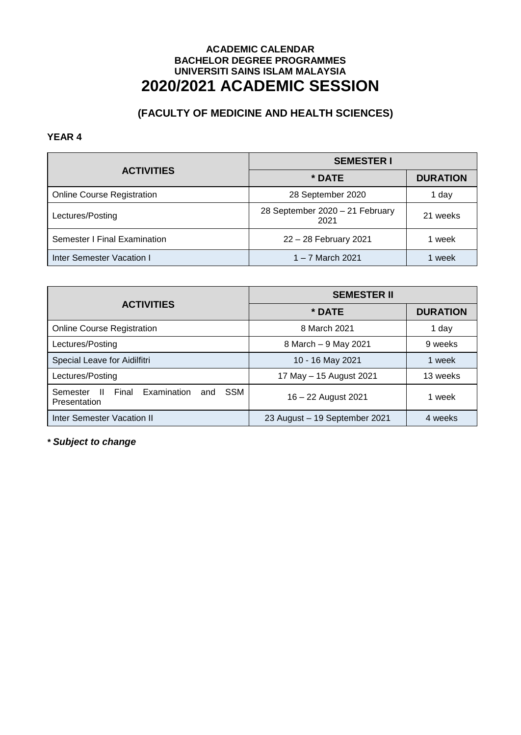# **(FACULTY OF MEDICINE AND HEALTH SCIENCES)**

### **YEAR 4**

|                                   | <b>SEMESTER I</b>                       |                 |
|-----------------------------------|-----------------------------------------|-----------------|
| <b>ACTIVITIES</b>                 | * DATE                                  | <b>DURATION</b> |
| <b>Online Course Registration</b> | 28 September 2020                       | 1 day           |
| Lectures/Posting                  | 28 September 2020 - 21 February<br>2021 | 21 weeks        |
| Semester I Final Examination      | 22 - 28 February 2021                   | 1 week          |
| Inter Semester Vacation I         | 1 – 7 March 2021                        | 1 week          |

|                                                                             | <b>SEMESTER II</b>            |                 |
|-----------------------------------------------------------------------------|-------------------------------|-----------------|
| <b>ACTIVITIES</b>                                                           | * DATE                        | <b>DURATION</b> |
| <b>Online Course Registration</b>                                           | 8 March 2021                  | 1 day           |
| Lectures/Posting                                                            | 8 March - 9 May 2021          | 9 weeks         |
| Special Leave for Aidilfitri                                                | 10 - 16 May 2021              | 1 week          |
| Lectures/Posting                                                            | 17 May - 15 August 2021       | 13 weeks        |
| Final<br><b>SSM</b><br>Examination<br>Semester<br>H.<br>and<br>Presentation | 16 - 22 August 2021           | 1 week          |
| <b>Inter Semester Vacation II</b>                                           | 23 August - 19 September 2021 | 4 weeks         |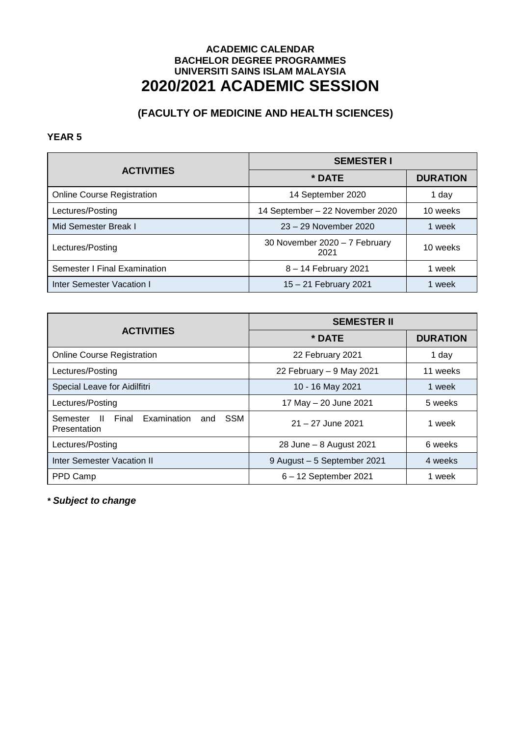# **(FACULTY OF MEDICINE AND HEALTH SCIENCES)**

#### **YEAR 5**

| <b>ACTIVITIES</b>                 | <b>SEMESTER I</b>                     |                 |
|-----------------------------------|---------------------------------------|-----------------|
|                                   | * DATE                                | <b>DURATION</b> |
| <b>Online Course Registration</b> | 14 September 2020                     | 1 day           |
| Lectures/Posting                  | 14 September - 22 November 2020       | 10 weeks        |
| Mid Semester Break I              | 23 - 29 November 2020                 | 1 week          |
| Lectures/Posting                  | 30 November 2020 - 7 February<br>2021 | 10 weeks        |
| Semester I Final Examination      | 8 - 14 February 2021                  | 1 week          |
| Inter Semester Vacation I         | 15 - 21 February 2021                 | 1 week          |

|                                                                                 | <b>SEMESTER II</b>          |                 |
|---------------------------------------------------------------------------------|-----------------------------|-----------------|
| <b>ACTIVITIES</b>                                                               | * DATE                      | <b>DURATION</b> |
| <b>Online Course Registration</b>                                               | 22 February 2021            | 1 day           |
| Lectures/Posting                                                                | 22 February - 9 May 2021    | 11 weeks        |
| Special Leave for Aidilfitri                                                    | 10 - 16 May 2021            | 1 week          |
| Lectures/Posting                                                                | 17 May - 20 June 2021       | 5 weeks         |
| Final Examination and<br><b>SSM</b><br>$\mathbf{H}$<br>Semester<br>Presentation | $21 - 27$ June 2021         | 1 week          |
| Lectures/Posting                                                                | 28 June - 8 August 2021     | 6 weeks         |
| <b>Inter Semester Vacation II</b>                                               | 9 August - 5 September 2021 | 4 weeks         |
| PPD Camp                                                                        | 6 - 12 September 2021       | 1 week          |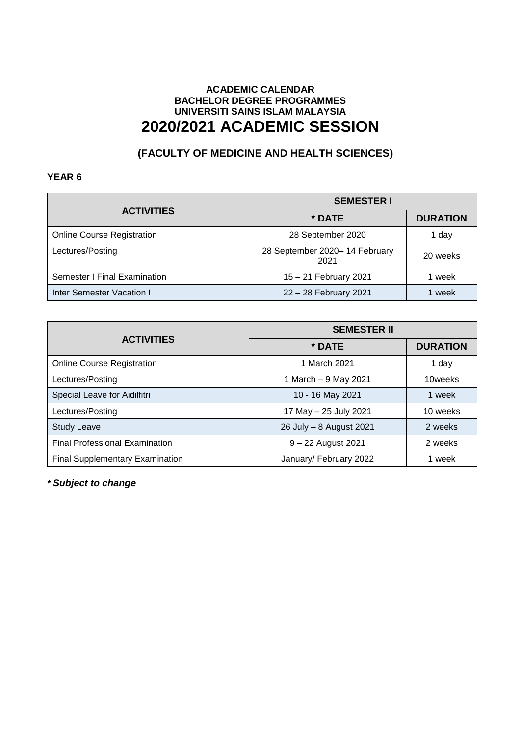# **(FACULTY OF MEDICINE AND HEALTH SCIENCES)**

### **YEAR 6**

|                                   | <b>SEMESTER I</b>                     |                 |
|-----------------------------------|---------------------------------------|-----------------|
| <b>ACTIVITIES</b>                 | * DATE                                | <b>DURATION</b> |
| <b>Online Course Registration</b> | 28 September 2020                     | 1 day           |
| Lectures/Posting                  | 28 September 2020-14 February<br>2021 | 20 weeks        |
| Semester I Final Examination      | 15 – 21 February 2021                 | week            |
| Inter Semester Vacation I         | 22 - 28 February 2021                 | week            |

| <b>ACTIVITIES</b>                      | <b>SEMESTER II</b>      |                 |
|----------------------------------------|-------------------------|-----------------|
|                                        | * DATE                  | <b>DURATION</b> |
| <b>Online Course Registration</b>      | 1 March 2021            | 1 day           |
| Lectures/Posting                       | 1 March - 9 May 2021    | 10weeks         |
| Special Leave for Aidilfitri           | 10 - 16 May 2021        | 1 week          |
| Lectures/Posting                       | 17 May - 25 July 2021   | 10 weeks        |
| <b>Study Leave</b>                     | 26 July - 8 August 2021 | 2 weeks         |
| <b>Final Professional Examination</b>  | $9 - 22$ August 2021    | 2 weeks         |
| <b>Final Supplementary Examination</b> | January/ February 2022  | week            |